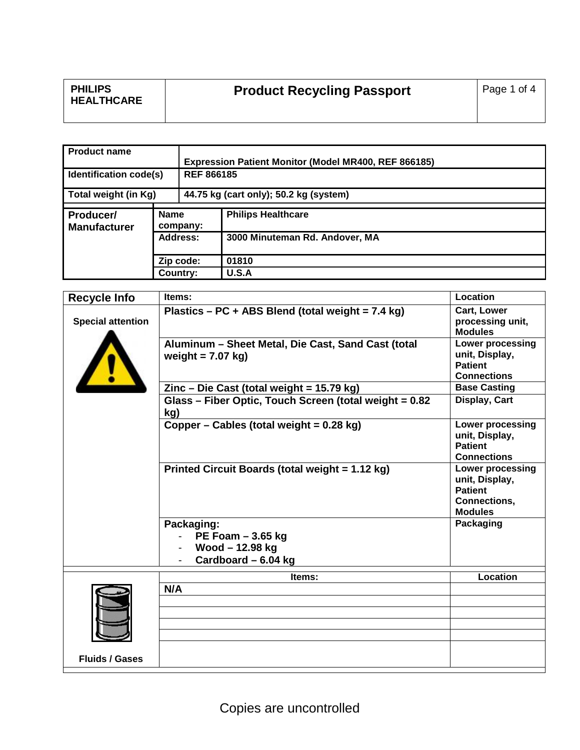| <b>PHILIPS</b><br>Page 1 of 4<br><b>Product Recycling Passport</b><br><b>HEALTHCARE</b> |  |
|-----------------------------------------------------------------------------------------|--|
|-----------------------------------------------------------------------------------------|--|

| <b>Product name</b>              |                         |                                        | Expression Patient Monitor (Model MR400, REF 866185) |  |
|----------------------------------|-------------------------|----------------------------------------|------------------------------------------------------|--|
| Identification code(s)           |                         | <b>REF 866185</b>                      |                                                      |  |
| Total weight (in Kg)             |                         | 44.75 kg (cart only); 50.2 kg (system) |                                                      |  |
| Producer/<br><b>Manufacturer</b> | <b>Name</b><br>company: |                                        | <b>Philips Healthcare</b>                            |  |
|                                  | Address:                |                                        | 3000 Minuteman Rd. Andover, MA                       |  |
|                                  | Zip code:               |                                        | 01810                                                |  |
|                                  | Country:                |                                        | U.S.A                                                |  |

| <b>Recycle Info</b>      | Items:                                                        | Location                                  |
|--------------------------|---------------------------------------------------------------|-------------------------------------------|
|                          | Plastics - PC + ABS Blend (total weight = 7.4 kg)             | Cart, Lower                               |
| <b>Special attention</b> |                                                               | processing unit,<br><b>Modules</b>        |
|                          | Aluminum - Sheet Metal, Die Cast, Sand Cast (total            | Lower processing                          |
|                          | weight = $7.07$ kg)                                           | unit, Display,<br><b>Patient</b>          |
|                          |                                                               | <b>Connections</b>                        |
|                          | $\text{Zinc} - \text{Die Cast}$ (total weight = 15.79 kg)     | <b>Base Casting</b>                       |
|                          | Glass - Fiber Optic, Touch Screen (total weight = 0.82<br>kg) | Display, Cart                             |
|                          | Copper – Cables (total weight = 0.28 kg)                      | <b>Lower processing</b><br>unit, Display, |
|                          |                                                               | <b>Patient</b>                            |
|                          |                                                               | <b>Connections</b>                        |
|                          | Printed Circuit Boards (total weight = 1.12 kg)               | <b>Lower processing</b>                   |
|                          |                                                               | unit, Display,<br><b>Patient</b>          |
|                          |                                                               | <b>Connections,</b>                       |
|                          |                                                               | <b>Modules</b>                            |
|                          | Packaging:                                                    | Packaging                                 |
|                          | PE Foam $-3.65$ kg                                            |                                           |
|                          | Wood-12.98 kg                                                 |                                           |
|                          | Cardboard - 6.04 kg                                           |                                           |
|                          | Items:                                                        | Location                                  |
|                          | N/A                                                           |                                           |
|                          |                                                               |                                           |
|                          |                                                               |                                           |
|                          |                                                               |                                           |
|                          |                                                               |                                           |
| <b>Fluids / Gases</b>    |                                                               |                                           |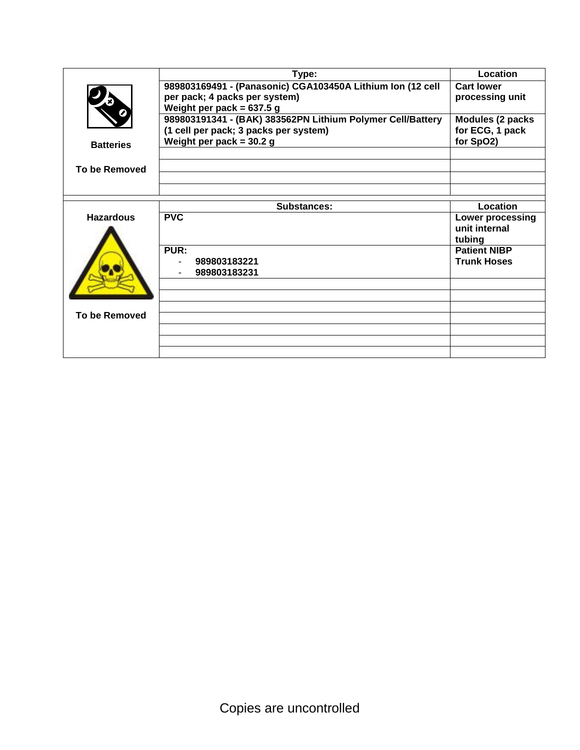|                      | Type:                                                        | Location                      |
|----------------------|--------------------------------------------------------------|-------------------------------|
|                      | 989803169491 - (Panasonic) CGA103450A Lithium Ion (12 cell   | <b>Cart lower</b>             |
|                      | per pack; 4 packs per system)<br>Weight per pack = $637.5$ g | processing unit               |
|                      | 989803191341 - (BAK) 383562PN Lithium Polymer Cell/Battery   | Modules (2 packs              |
|                      | (1 cell per pack; 3 packs per system)                        | for ECG, 1 pack               |
| <b>Batteries</b>     | Weight per pack = $30.2 g$                                   | for SpO2)                     |
|                      |                                                              |                               |
| To be Removed        |                                                              |                               |
|                      |                                                              |                               |
|                      | Substances:                                                  | Location                      |
| <b>Hazardous</b>     | <b>PVC</b>                                                   | <b>Lower processing</b>       |
|                      |                                                              | unit internal                 |
|                      | PUR:                                                         | tubing<br><b>Patient NIBP</b> |
|                      | 989803183221                                                 | <b>Trunk Hoses</b>            |
|                      | 989803183231                                                 |                               |
|                      |                                                              |                               |
|                      |                                                              |                               |
| <b>To be Removed</b> |                                                              |                               |
|                      |                                                              |                               |
|                      |                                                              |                               |
|                      |                                                              |                               |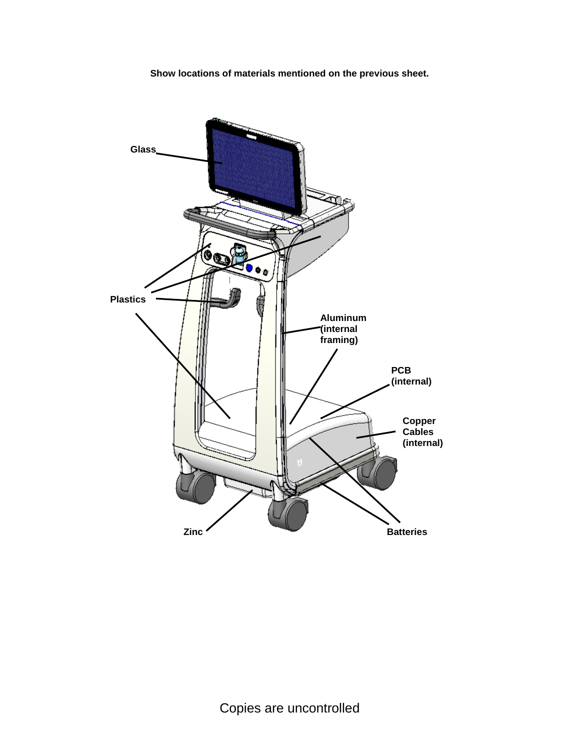**Show locations of materials mentioned on the previous sheet.**